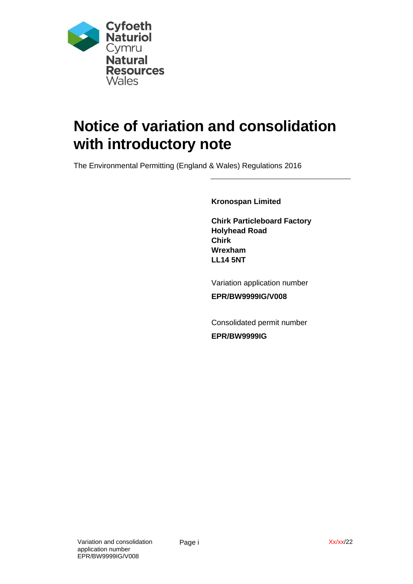

# **Notice of variation and consolidation with introductory note**

The Environmental Permitting (England & Wales) Regulations 2016

**Kronospan Limited**

**Chirk Particleboard Factory Holyhead Road Chirk Wrexham LL14 5NT**

Variation application number

**EPR/BW9999IG/V008**

Consolidated permit number

**EPR/BW9999IG**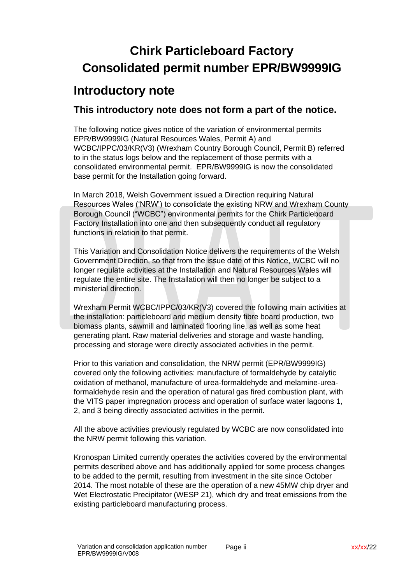## **Chirk Particleboard Factory Consolidated permit number EPR/BW9999IG**

## **Introductory note**

#### **This introductory note does not form a part of the notice.**

The following notice gives notice of the variation of environmental permits EPR/BW9999IG (Natural Resources Wales, Permit A) and WCBC/IPPC/03/KR(V3) (Wrexham Country Borough Council, Permit B) referred to in the status logs below and the replacement of those permits with a consolidated environmental permit.EPR/BW9999IG is now the consolidated base permit for the Installation going forward.

In March 2018, Welsh Government issued a Direction requiring Natural Resources Wales ('NRW') to consolidate the existing NRW and Wrexham County Borough Council ("WCBC") environmental permits for the Chirk Particleboard Factory Installation into one and then subsequently conduct all regulatory functions in relation to that permit.

This Variation and Consolidation Notice delivers the requirements of the Welsh Government Direction, so that from the issue date of this Notice, WCBC will no longer regulate activities at the Installation and Natural Resources Wales will regulate the entire site. The Installation will then no longer be subject to a ministerial direction.

Wrexham Permit WCBC/IPPC/03/KR(V3) covered the following main activities at the installation: particleboard and medium density fibre board production, two biomass plants, sawmill and laminated flooring line, as well as some heat generating plant. Raw material deliveries and storage and waste handling, processing and storage were directly associated activities in the permit.

Prior to this variation and consolidation, the NRW permit (EPR/BW9999IG) covered only the following activities: manufacture of formaldehyde by catalytic oxidation of methanol, manufacture of urea-formaldehyde and melamine-ureaformaldehyde resin and the operation of natural gas fired combustion plant, with the VITS paper impregnation process and operation of surface water lagoons 1, 2, and 3 being directly associated activities in the permit.

All the above activities previously regulated by WCBC are now consolidated into the NRW permit following this variation.

Kronospan Limited currently operates the activities covered by the environmental permits described above and has additionally applied for some process changes to be added to the permit, resulting from investment in the site since October 2014. The most notable of these are the operation of a new 45MW chip dryer and Wet Electrostatic Precipitator (WESP 21), which dry and treat emissions from the existing particleboard manufacturing process.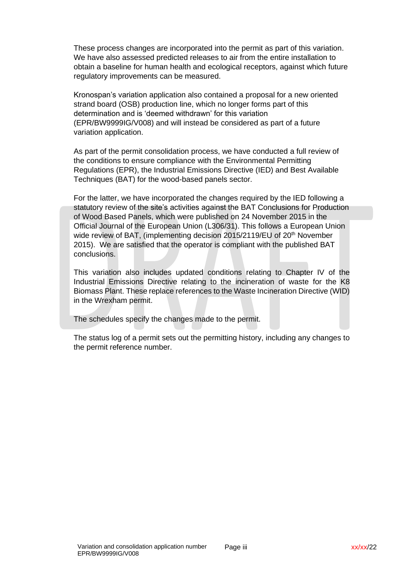These process changes are incorporated into the permit as part of this variation. We have also assessed predicted releases to air from the entire installation to obtain a baseline for human health and ecological receptors, against which future regulatory improvements can be measured.

Kronospan's variation application also contained a proposal for a new oriented strand board (OSB) production line, which no longer forms part of this determination and is 'deemed withdrawn' for this variation (EPR/BW9999IG/V008) and will instead be considered as part of a future variation application.

As part of the permit consolidation process, we have conducted a full review of the conditions to ensure compliance with the Environmental Permitting Regulations (EPR), the Industrial Emissions Directive (IED) and Best Available Techniques (BAT) for the wood-based panels sector.

For the latter, we have incorporated the changes required by the IED following a statutory review of the site's activities against the BAT Conclusions for Production of Wood Based Panels, which were published on 24 November 2015 in the Official Journal of the European Union (L306/31). This follows a European Union wide review of BAT, (implementing decision 2015/2119/EU of 20<sup>th</sup> November 2015). We are satisfied that the operator is compliant with the published BAT conclusions.

This variation also includes updated conditions relating to Chapter IV of the Industrial Emissions Directive relating to the incineration of waste for the K8 Biomass Plant. These replace references to the Waste Incineration Directive (WID) in the Wrexham permit.

The schedules specify the changes made to the permit.

The status log of a permit sets out the permitting history, including any changes to the permit reference number.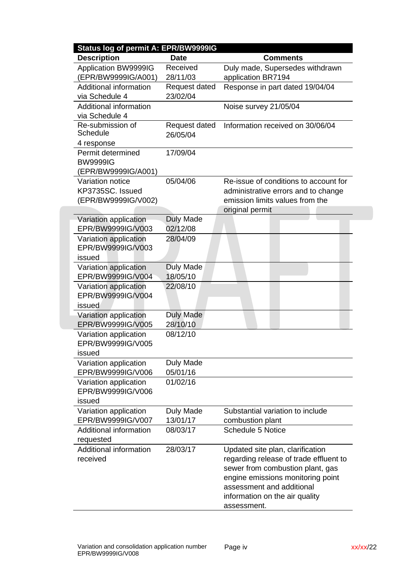| Status log of permit A: EPR/BW9999IG |                  |                                        |
|--------------------------------------|------------------|----------------------------------------|
| <b>Description</b>                   | <b>Date</b>      | <b>Comments</b>                        |
| Application BW9999IG                 | Received         | Duly made, Supersedes withdrawn        |
| EPR/BW9999IG/A001)                   | 28/11/03         | application BR7194                     |
| Additional information               | Request dated    | Response in part dated 19/04/04        |
| via Schedule 4                       | 23/02/04         |                                        |
| Additional information               |                  | Noise survey 21/05/04                  |
| via Schedule 4                       |                  |                                        |
| Re-submission of                     | Request dated    | Information received on 30/06/04       |
| Schedule                             | 26/05/04         |                                        |
| 4 response                           |                  |                                        |
| Permit determined                    | 17/09/04         |                                        |
| <b>BW9999IG</b>                      |                  |                                        |
| (EPR/BW9999IG/A001)                  |                  |                                        |
| Variation notice                     | 05/04/06         | Re-issue of conditions to account for  |
| KP3735SC. Issued                     |                  | administrative errors and to change    |
| (EPR/BW9999IG/V002)                  |                  | emission limits values from the        |
|                                      |                  | original permit                        |
| Variation application                | <b>Duly Made</b> |                                        |
| EPR/BW9999IG/V003                    | 02/12/08         |                                        |
| Variation application                | 28/04/09         |                                        |
| EPR/BW9999IG/V003                    |                  |                                        |
| issued                               |                  |                                        |
| Variation application                | <b>Duly Made</b> |                                        |
| EPR/BW9999IG/V004                    | 18/05/10         |                                        |
| Variation application                | 22/08/10         |                                        |
| EPR/BW9999IG/V004                    |                  |                                        |
| issued                               |                  |                                        |
| Variation application                | <b>Duly Made</b> |                                        |
| EPR/BW9999IG/V005                    | 28/10/10         |                                        |
| Variation application                | 08/12/10         |                                        |
| EPR/BW9999IG/V005                    |                  |                                        |
| issued                               |                  |                                        |
| Variation application                | Duly Made        |                                        |
| EPR/BW9999IG/V006                    | 05/01/16         |                                        |
| Variation application                | 01/02/16         |                                        |
| EPR/BW9999IG/V006                    |                  |                                        |
| issued                               |                  |                                        |
| Variation application                | Duly Made        | Substantial variation to include       |
| EPR/BW9999IG/V007                    | 13/01/17         | combustion plant                       |
| <b>Additional information</b>        | 08/03/17         | <b>Schedule 5 Notice</b>               |
| requested                            |                  |                                        |
| Additional information               | 28/03/17         | Updated site plan, clarification       |
| received                             |                  | regarding release of trade effluent to |
|                                      |                  | sewer from combustion plant, gas       |
|                                      |                  | engine emissions monitoring point      |
|                                      |                  | assessment and additional              |
|                                      |                  | information on the air quality         |
|                                      |                  |                                        |
|                                      |                  | assessment.                            |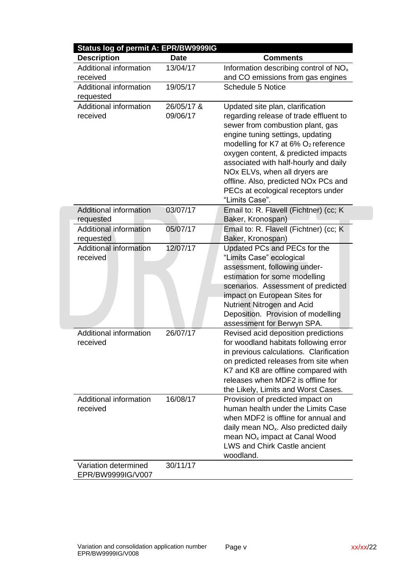| <b>Description</b>                         | <b>Date</b> | <b>Comments</b>                                             |
|--------------------------------------------|-------------|-------------------------------------------------------------|
| <b>Additional information</b>              | 13/04/17    | Information describing control of NO <sub>x</sub>           |
| received                                   |             | and CO emissions from gas engines                           |
| Additional information                     | 19/05/17    | <b>Schedule 5 Notice</b>                                    |
| requested                                  |             |                                                             |
| <b>Additional information</b>              | 26/05/17 &  | Updated site plan, clarification                            |
| received                                   | 09/06/17    | regarding release of trade effluent to                      |
|                                            |             | sewer from combustion plant, gas                            |
|                                            |             | engine tuning settings, updating                            |
|                                            |             | modelling for K7 at 6% O <sub>2</sub> reference             |
|                                            |             | oxygen content, & predicted impacts                         |
|                                            |             | associated with half-hourly and daily                       |
|                                            |             | NOx ELVs, when all dryers are                               |
|                                            |             | offline. Also, predicted NOx PCs and                        |
|                                            |             | PECs at ecological receptors under                          |
|                                            |             | "Limits Case".                                              |
| <b>Additional information</b>              | 03/07/17    | Email to: R. Flavell (Fichtner) (cc; K                      |
| requested<br>Additional information        | 05/07/17    | Baker, Kronospan)                                           |
|                                            |             | Email to: R. Flavell (Fichtner) (cc; K<br>Baker, Kronospan) |
| requested<br><b>Additional information</b> | 12/07/17    | Updated PCs and PECs for the                                |
| received                                   |             | "Limits Case" ecological                                    |
|                                            |             | assessment, following under-                                |
|                                            |             | estimation for some modelling                               |
|                                            |             | scenarios. Assessment of predicted                          |
|                                            |             | impact on European Sites for                                |
|                                            |             | Nutrient Nitrogen and Acid                                  |
|                                            |             | Deposition. Provision of modelling                          |
|                                            |             | assessment for Berwyn SPA.                                  |
| Additional information                     | 26/07/17    | Revised acid deposition predictions                         |
| received                                   |             | for woodland habitats following error                       |
|                                            |             | in previous calculations. Clarification                     |
|                                            |             | on predicted releases from site when                        |
|                                            |             | K7 and K8 are offline compared with                         |
|                                            |             | releases when MDF2 is offline for                           |
|                                            |             | the Likely, Limits and Worst Cases.                         |
| Additional information                     | 16/08/17    | Provision of predicted impact on                            |
| received                                   |             | human health under the Limits Case                          |
|                                            |             | when MDF2 is offline for annual and                         |
|                                            |             | daily mean NO <sub>x</sub> . Also predicted daily           |
|                                            |             | mean NO <sub>x</sub> impact at Canal Wood                   |
|                                            |             | <b>LWS and Chirk Castle ancient</b>                         |
|                                            |             | woodland.                                                   |
| Variation determined                       | 30/11/17    |                                                             |
| EPR/BW9999IG/V007                          |             |                                                             |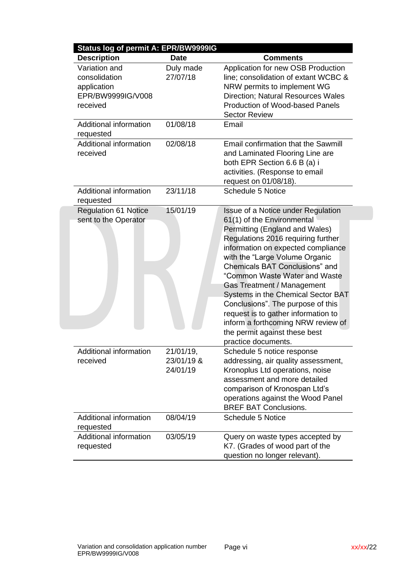| <b>Description</b>                       | Status log of permit A: EPR/BW9999IG<br><b>Date</b> | <b>Comments</b>                           |
|------------------------------------------|-----------------------------------------------------|-------------------------------------------|
| Variation and                            | Duly made                                           | Application for new OSB Production        |
| consolidation                            | 27/07/18                                            | line; consolidation of extant WCBC &      |
| application                              |                                                     | NRW permits to implement WG               |
| EPR/BW9999IG/V008                        |                                                     | <b>Direction: Natural Resources Wales</b> |
| received                                 |                                                     | Production of Wood-based Panels           |
|                                          |                                                     | <b>Sector Review</b>                      |
| Additional information                   | 01/08/18                                            | Email                                     |
| requested                                |                                                     |                                           |
| Additional information                   | 02/08/18                                            | Email confirmation that the Sawmill       |
| received                                 |                                                     | and Laminated Flooring Line are           |
|                                          |                                                     | both EPR Section 6.6 B (a) i              |
|                                          |                                                     | activities. (Response to email            |
|                                          |                                                     | request on 01/08/18).                     |
| Additional information                   | 23/11/18                                            | <b>Schedule 5 Notice</b>                  |
| requested<br><b>Regulation 61 Notice</b> | 15/01/19                                            | Issue of a Notice under Regulation        |
| sent to the Operator                     |                                                     | 61(1) of the Environmental                |
|                                          |                                                     | Permitting (England and Wales)            |
|                                          |                                                     | Regulations 2016 requiring further        |
|                                          |                                                     | information on expected compliance        |
|                                          |                                                     | with the "Large Volume Organic            |
|                                          |                                                     | <b>Chemicals BAT Conclusions" and</b>     |
|                                          |                                                     | "Common Waste Water and Waste             |
|                                          |                                                     |                                           |
|                                          |                                                     | Gas Treatment / Management                |
|                                          |                                                     | Systems in the Chemical Sector BAT        |
|                                          |                                                     | Conclusions". The purpose of this         |
|                                          |                                                     | request is to gather information to       |
|                                          |                                                     | inform a forthcoming NRW review of        |
|                                          |                                                     | the permit against these best             |
| Additional information                   | 21/01/19,                                           | practice documents.                       |
| received                                 | 23/01/19 &                                          | Schedule 5 notice response                |
|                                          |                                                     | addressing, air quality assessment,       |
|                                          | 24/01/19                                            | Kronoplus Ltd operations, noise           |
|                                          |                                                     | assessment and more detailed              |
|                                          |                                                     | comparison of Kronospan Ltd's             |
|                                          |                                                     | operations against the Wood Panel         |
|                                          |                                                     | <b>BREF BAT Conclusions.</b>              |
| Additional information<br>requested      | 08/04/19                                            | <b>Schedule 5 Notice</b>                  |
| Additional information                   | 03/05/19                                            | Query on waste types accepted by          |
| requested                                |                                                     | K7. (Grades of wood part of the           |
|                                          |                                                     | question no longer relevant).             |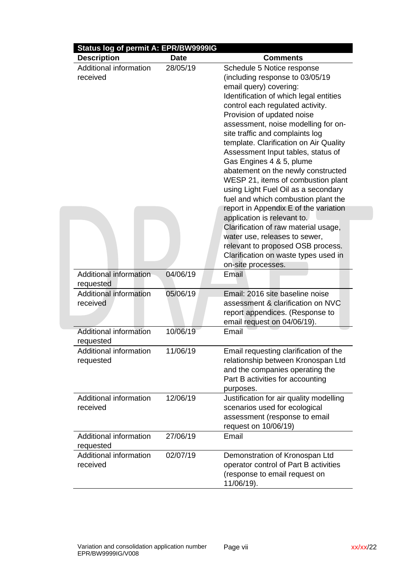| Status log of permit A: EPR/BW9999IG<br><b>Description</b> | <b>Date</b> | <b>Comments</b>                         |
|------------------------------------------------------------|-------------|-----------------------------------------|
| Additional information                                     | 28/05/19    | Schedule 5 Notice response              |
| received                                                   |             | (including response to 03/05/19         |
|                                                            |             | email query) covering:                  |
|                                                            |             | Identification of which legal entities  |
|                                                            |             | control each regulated activity.        |
|                                                            |             | Provision of updated noise              |
|                                                            |             | assessment, noise modelling for on-     |
|                                                            |             | site traffic and complaints log         |
|                                                            |             | template. Clarification on Air Quality  |
|                                                            |             | Assessment Input tables, status of      |
|                                                            |             | Gas Engines 4 & 5, plume                |
|                                                            |             | abatement on the newly constructed      |
|                                                            |             | WESP 21, items of combustion plant      |
|                                                            |             | using Light Fuel Oil as a secondary     |
|                                                            |             | fuel and which combustion plant the     |
|                                                            |             | report in Appendix E of the variation   |
|                                                            |             | application is relevant to.             |
|                                                            |             | Clarification of raw material usage,    |
|                                                            |             | water use, releases to sewer,           |
|                                                            |             | relevant to proposed OSB process.       |
|                                                            |             | Clarification on waste types used in    |
|                                                            |             | on-site processes.                      |
| <b>Additional information</b>                              | 04/06/19    | Email                                   |
| requested                                                  |             |                                         |
| <b>Additional information</b>                              | 05/06/19    | Email: 2016 site baseline noise         |
| received                                                   |             | assessment & clarification on NVC       |
|                                                            |             | report appendices. (Response to         |
|                                                            |             | email request on 04/06/19).             |
| <b>Additional information</b>                              | 10/06/19    | Email                                   |
| requested                                                  |             |                                         |
| <b>Additional information</b>                              | 11/06/19    | Email requesting clarification of the   |
| requested                                                  |             | relationship between Kronospan Ltd      |
|                                                            |             | and the companies operating the         |
|                                                            |             | Part B activities for accounting        |
|                                                            |             | purposes.                               |
| Additional information                                     | 12/06/19    | Justification for air quality modelling |
| received                                                   |             | scenarios used for ecological           |
|                                                            |             | assessment (response to email           |
|                                                            |             | request on 10/06/19)                    |
| Additional information                                     | 27/06/19    | Email                                   |
| requested                                                  |             |                                         |
| Additional information                                     | 02/07/19    | Demonstration of Kronospan Ltd          |
| received                                                   |             | operator control of Part B activities   |
|                                                            |             | (response to email request on           |
|                                                            |             | 11/06/19).                              |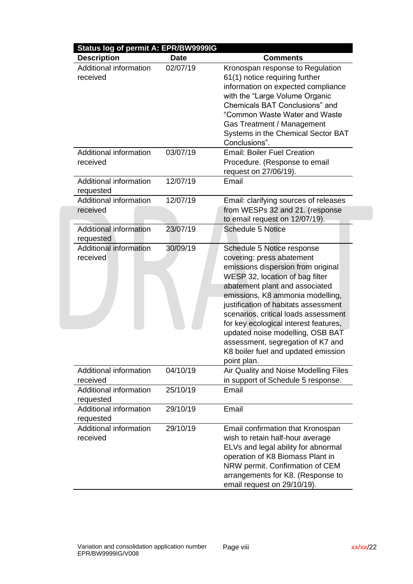| <b>Description</b>                  | <b>Date</b> | <b>Comments</b>                       |
|-------------------------------------|-------------|---------------------------------------|
| Additional information              | 02/07/19    | Kronospan response to Regulation      |
| received                            |             | 61(1) notice requiring further        |
|                                     |             | information on expected compliance    |
|                                     |             | with the "Large Volume Organic        |
|                                     |             | Chemicals BAT Conclusions" and        |
|                                     |             | "Common Waste Water and Waste         |
|                                     |             | Gas Treatment / Management            |
|                                     |             | Systems in the Chemical Sector BAT    |
|                                     |             | Conclusions".                         |
| Additional information              | 03/07/19    | <b>Email: Boiler Fuel Creation</b>    |
| received                            |             | Procedure. (Response to email         |
|                                     |             | request on 27/06/19).                 |
|                                     |             |                                       |
| Additional information              | 12/07/19    | Email                                 |
| requested<br>Additional information | 12/07/19    | Email: clarifying sources of releases |
| received                            |             | from WESPs 32 and 21. (response       |
|                                     |             | to email request on 12/07/19).        |
| Additional information              | 23/07/19    | <b>Schedule 5 Notice</b>              |
|                                     |             |                                       |
| requested<br>Additional information | 30/09/19    |                                       |
|                                     |             | Schedule 5 Notice response            |
| received                            |             | covering: press abatement             |
|                                     |             | emissions dispersion from original    |
|                                     |             | WESP 32, location of bag filter       |
|                                     |             | abatement plant and associated        |
|                                     |             | emissions, K8 ammonia modelling,      |
|                                     |             | justification of habitats assessment  |
|                                     |             | scenarios, critical loads assessment  |
|                                     |             | for key ecological interest features, |
|                                     |             | updated noise modelling, OSB BAT      |
|                                     |             | assessment, segregation of K7 and     |
|                                     |             | K8 boiler fuel and updated emission   |
|                                     |             | point plan.                           |
| Additional information              | 04/10/19    | Air Quality and Noise Modelling Files |
| received                            |             | in support of Schedule 5 response.    |
| Additional information              | 25/10/19    | Email                                 |
| requested                           |             |                                       |
| Additional information              | 29/10/19    | Email                                 |
| requested                           |             |                                       |
| Additional information              | 29/10/19    | Email confirmation that Kronospan     |
| received                            |             | wish to retain half-hour average      |
|                                     |             | ELVs and legal ability for abnormal   |
|                                     |             | operation of K8 Biomass Plant in      |
|                                     |             | NRW permit. Confirmation of CEM       |
|                                     |             | arrangements for K8. (Response to     |
|                                     |             | email request on 29/10/19).           |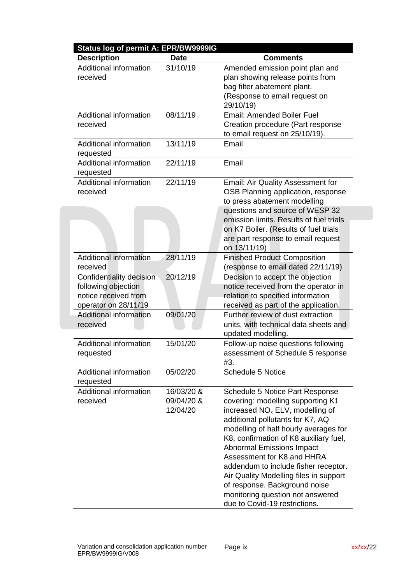| Status log of permit A: EPR/BW9999IG                                                            |                                      |                                                                                                                                                                                                                                                                                                                                                                                                                                                                                                      |  |
|-------------------------------------------------------------------------------------------------|--------------------------------------|------------------------------------------------------------------------------------------------------------------------------------------------------------------------------------------------------------------------------------------------------------------------------------------------------------------------------------------------------------------------------------------------------------------------------------------------------------------------------------------------------|--|
| <b>Description</b>                                                                              | <b>Date</b>                          | <b>Comments</b>                                                                                                                                                                                                                                                                                                                                                                                                                                                                                      |  |
| Additional information<br>received                                                              | 31/10/19                             | Amended emission point plan and<br>plan showing release points from<br>bag filter abatement plant.<br>(Response to email request on<br>29/10/19)                                                                                                                                                                                                                                                                                                                                                     |  |
| Additional information<br>received                                                              | 08/11/19                             | <b>Email: Amended Boiler Fuel</b><br>Creation procedure (Part response<br>to email request on 25/10/19).                                                                                                                                                                                                                                                                                                                                                                                             |  |
| Additional information<br>requested                                                             | 13/11/19                             | Email                                                                                                                                                                                                                                                                                                                                                                                                                                                                                                |  |
| <b>Additional information</b><br>requested                                                      | 22/11/19                             | Email                                                                                                                                                                                                                                                                                                                                                                                                                                                                                                |  |
| <b>Additional information</b><br>received                                                       | 22/11/19                             | Email: Air Quality Assessment for<br>OSB Planning application, response<br>to press abatement modelling<br>questions and source of WESP 32                                                                                                                                                                                                                                                                                                                                                           |  |
|                                                                                                 |                                      | emission limits. Results of fuel trials<br>on K7 Boiler. (Results of fuel trials<br>are part response to email request<br>on 13/11/19)                                                                                                                                                                                                                                                                                                                                                               |  |
| Additional information<br>received                                                              | 28/11/19                             | <b>Finished Product Composition</b><br>(response to email dated 22/11/19)                                                                                                                                                                                                                                                                                                                                                                                                                            |  |
| Confidentiality decision<br>following objection<br>notice received from<br>operator on 28/11/19 | 20/12/19                             | Decision to accept the objection<br>notice received from the operator in<br>relation to specified information<br>received as part of the application.                                                                                                                                                                                                                                                                                                                                                |  |
| Additional information<br>received                                                              | 09/01/20                             | Further review of dust extraction<br>units, with technical data sheets and<br>updated modelling.                                                                                                                                                                                                                                                                                                                                                                                                     |  |
| Additional information<br>requested                                                             | 15/01/20                             | Follow-up noise questions following<br>assessment of Schedule 5 response<br>#3.                                                                                                                                                                                                                                                                                                                                                                                                                      |  |
| Additional information<br>requested                                                             | 05/02/20                             | <b>Schedule 5 Notice</b>                                                                                                                                                                                                                                                                                                                                                                                                                                                                             |  |
| Additional information<br>received                                                              | 16/03/20 &<br>09/04/20 &<br>12/04/20 | Schedule 5 Notice Part Response<br>covering: modelling supporting K1<br>increased NO <sub>x</sub> ELV, modelling of<br>additional pollutants for K7, AQ<br>modelling of half hourly averages for<br>K8, confirmation of K8 auxiliary fuel,<br><b>Abnormal Emissions Impact</b><br>Assessment for K8 and HHRA<br>addendum to include fisher receptor.<br>Air Quality Modelling files in support<br>of response. Background noise<br>monitoring question not answered<br>due to Covid-19 restrictions. |  |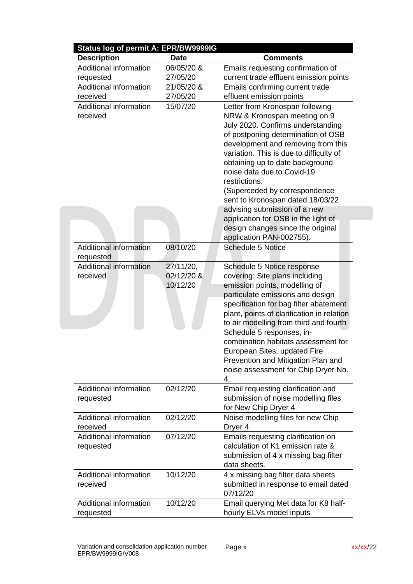| Status log of permit A: EPR/BW9999IG       |                        |                                                                                                                                                                                                                                                                                                                                                                                    |
|--------------------------------------------|------------------------|------------------------------------------------------------------------------------------------------------------------------------------------------------------------------------------------------------------------------------------------------------------------------------------------------------------------------------------------------------------------------------|
| <b>Description</b>                         | <b>Date</b>            | <b>Comments</b>                                                                                                                                                                                                                                                                                                                                                                    |
| Additional information                     | 06/05/20 &             | Emails requesting confirmation of                                                                                                                                                                                                                                                                                                                                                  |
| requested                                  | 27/05/20               | current trade effluent emission points                                                                                                                                                                                                                                                                                                                                             |
| Additional information                     | 21/05/20 &             | Emails confirming current trade                                                                                                                                                                                                                                                                                                                                                    |
| received                                   | 27/05/20               | effluent emission points                                                                                                                                                                                                                                                                                                                                                           |
| Additional information<br>received         | 15/07/20               | Letter from Kronospan following<br>NRW & Kronospan meeting on 9<br>July 2020. Confirms understanding<br>of postponing determination of OSB<br>development and removing from this<br>variation. This is due to difficulty of<br>obtaining up to date background<br>noise data due to Covid-19<br>restrictions.<br>(Superceded by correspondence<br>sent to Kronospan dated 18/03/22 |
|                                            |                        | advising submission of a new                                                                                                                                                                                                                                                                                                                                                       |
|                                            |                        | application for OSB in the light of<br>design changes since the original<br>application PAN-002755).                                                                                                                                                                                                                                                                               |
| <b>Additional information</b><br>requested | 08/10/20               | <b>Schedule 5 Notice</b>                                                                                                                                                                                                                                                                                                                                                           |
| Additional information                     | 27/11/20,              | Schedule 5 Notice response                                                                                                                                                                                                                                                                                                                                                         |
| received                                   | 02/12/20 &<br>10/12/20 | covering: Site plans including<br>emission points, modelling of<br>particulate emissions and design<br>specification for bag filter abatement<br>plant, points of clarification in relation<br>to air modelling from third and fourth<br>Schedule 5 responses, in-                                                                                                                 |
|                                            |                        | combination habitats assessment for<br>European Sites, updated Fire<br>Prevention and Mitigation Plan and<br>noise assessment for Chip Dryer No.<br>4.                                                                                                                                                                                                                             |
| Additional information<br>requested        | 02/12/20               | Email requesting clarification and<br>submission of noise modelling files<br>for New Chip Dryer 4                                                                                                                                                                                                                                                                                  |
| Additional information<br>received         | 02/12/20               | Noise modelling files for new Chip<br>Dryer <sub>4</sub>                                                                                                                                                                                                                                                                                                                           |
| Additional information<br>requested        | 07/12/20               | Emails requesting clarification on<br>calculation of K1 emission rate &<br>submission of 4 x missing bag filter<br>data sheets.                                                                                                                                                                                                                                                    |
| <b>Additional information</b><br>received  | 10/12/20               | 4 x missing bag filter data sheets<br>submitted in response to email dated<br>07/12/20                                                                                                                                                                                                                                                                                             |
| Additional information<br>requested        | 10/12/20               | Email querying Met data for K8 half-<br>hourly ELVs model inputs                                                                                                                                                                                                                                                                                                                   |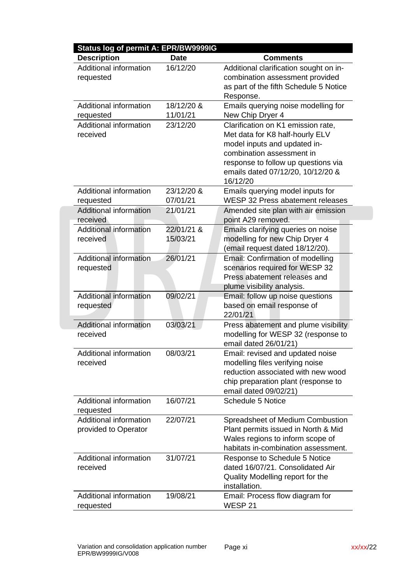| Status log of permit A: EPR/BW9999IG                  |                        |                                                                                                                                                                                                                            |
|-------------------------------------------------------|------------------------|----------------------------------------------------------------------------------------------------------------------------------------------------------------------------------------------------------------------------|
| <b>Description</b>                                    | <b>Date</b>            | <b>Comments</b>                                                                                                                                                                                                            |
| Additional information<br>requested                   | 16/12/20               | Additional clarification sought on in-<br>combination assessment provided<br>as part of the fifth Schedule 5 Notice<br>Response.                                                                                           |
| Additional information<br>requested                   | 18/12/20 &<br>11/01/21 | Emails querying noise modelling for<br>New Chip Dryer 4                                                                                                                                                                    |
| Additional information<br>received                    | 23/12/20               | Clarification on K1 emission rate,<br>Met data for K8 half-hourly ELV<br>model inputs and updated in-<br>combination assessment in<br>response to follow up questions via<br>emails dated 07/12/20, 10/12/20 &<br>16/12/20 |
| Additional information<br>requested                   | 23/12/20 &<br>07/01/21 | Emails querying model inputs for<br>WESP 32 Press abatement releases                                                                                                                                                       |
| Additional information<br>received                    | 21/01/21               | Amended site plan with air emission<br>point A29 removed.                                                                                                                                                                  |
| Additional information<br>received                    | 22/01/21 &<br>15/03/21 | Emails clarifying queries on noise<br>modelling for new Chip Dryer 4<br>(email request dated 18/12/20).                                                                                                                    |
| Additional information<br>requested                   | 26/01/21               | Email: Confirmation of modelling<br>scenarios required for WESP 32<br>Press abatement releases and<br>plume visibility analysis.                                                                                           |
| <b>Additional information</b><br>requested            | 09/02/21               | Email: follow up noise questions<br>based on email response of<br>22/01/21                                                                                                                                                 |
| <b>Additional information</b><br>received             | 03/03/21               | Press abatement and plume visibility<br>modelling for WESP 32 (response to<br>email dated 26/01/21)                                                                                                                        |
| <b>Additional information</b><br>received             | 08/03/21               | Email: revised and updated noise<br>modelling files verifying noise<br>reduction associated with new wood<br>chip preparation plant (response to<br>email dated 09/02/21)                                                  |
| Additional information<br>requested                   | 16/07/21               | <b>Schedule 5 Notice</b>                                                                                                                                                                                                   |
| <b>Additional information</b><br>provided to Operator | 22/07/21               | Spreadsheet of Medium Combustion<br>Plant permits issued in North & Mid<br>Wales regions to inform scope of<br>habitats in-combination assessment.                                                                         |
| Additional information<br>received                    | 31/07/21               | Response to Schedule 5 Notice<br>dated 16/07/21. Consolidated Air<br>Quality Modelling report for the<br>installation.                                                                                                     |
| Additional information<br>requested                   | 19/08/21               | Email: Process flow diagram for<br>WESP 21                                                                                                                                                                                 |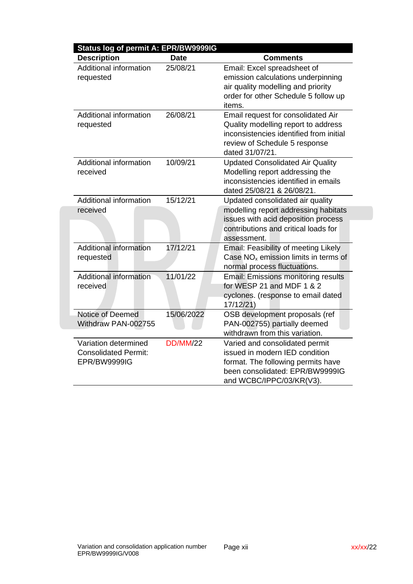| Status log of permit A: EPR/BW9999IG<br><b>Description</b>          | <b>Date</b>     | <b>Comments</b>                                                                                                                                                          |
|---------------------------------------------------------------------|-----------------|--------------------------------------------------------------------------------------------------------------------------------------------------------------------------|
| Additional information<br>requested                                 | 25/08/21        | Email: Excel spreadsheet of<br>emission calculations underpinning                                                                                                        |
|                                                                     |                 | air quality modelling and priority<br>order for other Schedule 5 follow up<br>items.                                                                                     |
| Additional information<br>requested                                 | 26/08/21        | Email request for consolidated Air<br>Quality modelling report to address<br>inconsistencies identified from initial<br>review of Schedule 5 response<br>dated 31/07/21. |
| Additional information<br>received                                  | 10/09/21        | <b>Updated Consolidated Air Quality</b><br>Modelling report addressing the<br>inconsistencies identified in emails<br>dated 25/08/21 & 26/08/21.                         |
| Additional information                                              | 15/12/21        | Updated consolidated air quality                                                                                                                                         |
| received                                                            |                 | modelling report addressing habitats<br>issues with acid deposition process<br>contributions and critical loads for<br>assessment.                                       |
| <b>Additional information</b><br>requested                          | 17/12/21        | Email: Feasibility of meeting Likely<br>Case $NOx$ emission limits in terms of<br>normal process fluctuations.                                                           |
| <b>Additional information</b><br>received                           | 11/01/22        | <b>Email: Emissions monitoring results</b><br>for WESP 21 and MDF 1 & 2<br>cyclones. (response to email dated<br>17/12/21                                                |
| Notice of Deemed<br>Withdraw PAN-002755                             | 15/06/2022      | OSB development proposals (ref<br>PAN-002755) partially deemed<br>withdrawn from this variation.                                                                         |
| Variation determined<br><b>Consolidated Permit:</b><br>EPR/BW9999IG | <b>DD/MM/22</b> | Varied and consolidated permit<br>issued in modern IED condition<br>format. The following permits have<br>been consolidated: EPR/BW9999IG<br>and WCBC/IPPC/03/KR(V3).    |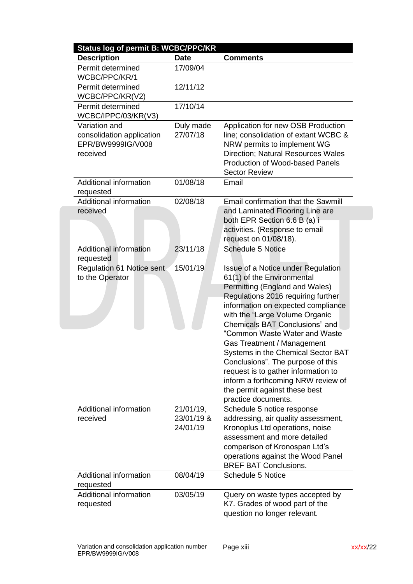| <b>Status log of permit B: WCBC/PPC/KR</b>                                  |                                     |                                                                                                                                                                                                                                                                                                                                                                                                                                                                                                                                          |
|-----------------------------------------------------------------------------|-------------------------------------|------------------------------------------------------------------------------------------------------------------------------------------------------------------------------------------------------------------------------------------------------------------------------------------------------------------------------------------------------------------------------------------------------------------------------------------------------------------------------------------------------------------------------------------|
| <b>Description</b>                                                          | <b>Date</b>                         | <b>Comments</b>                                                                                                                                                                                                                                                                                                                                                                                                                                                                                                                          |
| Permit determined<br>WCBC/PPC/KR/1                                          | 17/09/04                            |                                                                                                                                                                                                                                                                                                                                                                                                                                                                                                                                          |
| Permit determined<br>WCBC/PPC/KR(V2)                                        | 12/11/12                            |                                                                                                                                                                                                                                                                                                                                                                                                                                                                                                                                          |
| Permit determined<br>WCBC/IPPC/03/KR(V3)                                    | 17/10/14                            |                                                                                                                                                                                                                                                                                                                                                                                                                                                                                                                                          |
| Variation and<br>consolidation application<br>EPR/BW9999IG/V008<br>received | Duly made<br>27/07/18               | Application for new OSB Production<br>line; consolidation of extant WCBC &<br>NRW permits to implement WG<br><b>Direction; Natural Resources Wales</b><br>Production of Wood-based Panels<br><b>Sector Review</b>                                                                                                                                                                                                                                                                                                                        |
| <b>Additional information</b><br>requested                                  | 01/08/18                            | Email                                                                                                                                                                                                                                                                                                                                                                                                                                                                                                                                    |
| Additional information<br>received                                          | 02/08/18                            | Email confirmation that the Sawmill<br>and Laminated Flooring Line are<br>both EPR Section 6.6 B (a) i<br>activities. (Response to email<br>request on 01/08/18).                                                                                                                                                                                                                                                                                                                                                                        |
| <b>Additional information</b><br>requested                                  | 23/11/18                            | <b>Schedule 5 Notice</b>                                                                                                                                                                                                                                                                                                                                                                                                                                                                                                                 |
| <b>Regulation 61 Notice sent</b><br>to the Operator                         | 15/01/19                            | Issue of a Notice under Regulation<br>61(1) of the Environmental<br>Permitting (England and Wales)<br>Regulations 2016 requiring further<br>information on expected compliance<br>with the "Large Volume Organic<br><b>Chemicals BAT Conclusions" and</b><br>"Common Waste Water and Waste<br>Gas Treatment / Management<br>Systems in the Chemical Sector BAT<br>Conclusions". The purpose of this<br>request is to gather information to<br>inform a forthcoming NRW review of<br>the permit against these best<br>practice documents. |
| Additional information<br>received                                          | 21/01/19,<br>23/01/19 &<br>24/01/19 | Schedule 5 notice response<br>addressing, air quality assessment,<br>Kronoplus Ltd operations, noise<br>assessment and more detailed<br>comparison of Kronospan Ltd's<br>operations against the Wood Panel<br><b>BREF BAT Conclusions.</b>                                                                                                                                                                                                                                                                                               |
| <b>Additional information</b>                                               | 08/04/19                            | <b>Schedule 5 Notice</b>                                                                                                                                                                                                                                                                                                                                                                                                                                                                                                                 |
| requested                                                                   |                                     |                                                                                                                                                                                                                                                                                                                                                                                                                                                                                                                                          |
| Additional information<br>requested                                         | 03/05/19                            | Query on waste types accepted by<br>K7. Grades of wood part of the<br>question no longer relevant.                                                                                                                                                                                                                                                                                                                                                                                                                                       |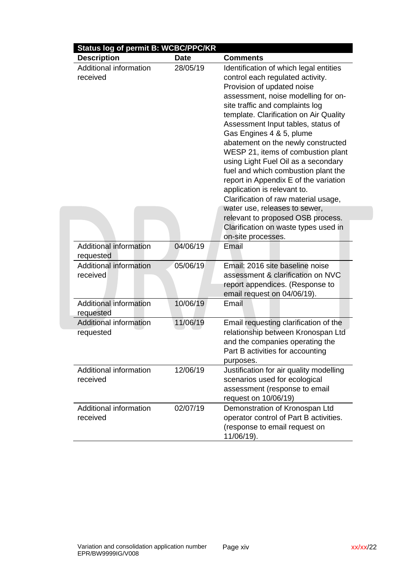| <b>Status log of permit B: WCBC/PPC/KR</b> |             |                                                                                                                                                                                                                                                                                                                                                                                                                                                                                                                                                                          |
|--------------------------------------------|-------------|--------------------------------------------------------------------------------------------------------------------------------------------------------------------------------------------------------------------------------------------------------------------------------------------------------------------------------------------------------------------------------------------------------------------------------------------------------------------------------------------------------------------------------------------------------------------------|
| <b>Description</b>                         | <b>Date</b> | <b>Comments</b>                                                                                                                                                                                                                                                                                                                                                                                                                                                                                                                                                          |
| Additional information<br>received         | 28/05/19    | Identification of which legal entities<br>control each regulated activity.<br>Provision of updated noise<br>assessment, noise modelling for on-<br>site traffic and complaints log<br>template. Clarification on Air Quality<br>Assessment Input tables, status of<br>Gas Engines 4 & 5, plume<br>abatement on the newly constructed<br>WESP 21, items of combustion plant<br>using Light Fuel Oil as a secondary<br>fuel and which combustion plant the<br>report in Appendix E of the variation<br>application is relevant to.<br>Clarification of raw material usage, |
|                                            |             | water use, releases to sewer,                                                                                                                                                                                                                                                                                                                                                                                                                                                                                                                                            |
|                                            |             | relevant to proposed OSB process.<br>Clarification on waste types used in                                                                                                                                                                                                                                                                                                                                                                                                                                                                                                |
|                                            |             | on-site processes.                                                                                                                                                                                                                                                                                                                                                                                                                                                                                                                                                       |
| Additional information<br>requested        | 04/06/19    | Email                                                                                                                                                                                                                                                                                                                                                                                                                                                                                                                                                                    |
| Additional information<br>received         | 05/06/19    | Email: 2016 site baseline noise<br>assessment & clarification on NVC<br>report appendices. (Response to<br>email request on 04/06/19).                                                                                                                                                                                                                                                                                                                                                                                                                                   |
| Additional information<br>requested        | 10/06/19    | Email                                                                                                                                                                                                                                                                                                                                                                                                                                                                                                                                                                    |
| <b>Additional information</b><br>requested | 11/06/19    | Email requesting clarification of the<br>relationship between Kronospan Ltd<br>and the companies operating the<br>Part B activities for accounting<br>purposes.                                                                                                                                                                                                                                                                                                                                                                                                          |
| Additional information<br>received         | 12/06/19    | Justification for air quality modelling<br>scenarios used for ecological<br>assessment (response to email<br>request on 10/06/19)                                                                                                                                                                                                                                                                                                                                                                                                                                        |
| Additional information<br>received         | 02/07/19    | Demonstration of Kronospan Ltd<br>operator control of Part B activities.<br>(response to email request on<br>11/06/19).                                                                                                                                                                                                                                                                                                                                                                                                                                                  |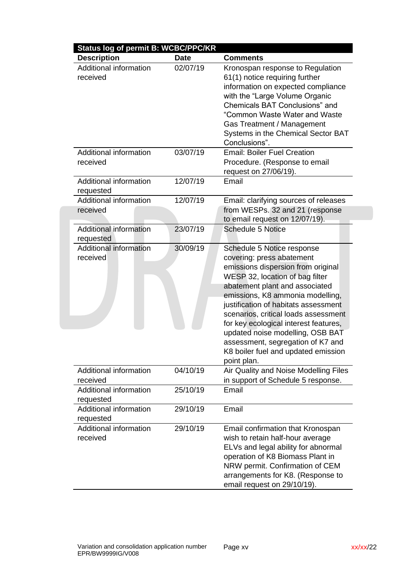| <b>Description</b>                  | <b>Date</b> | <b>Comments</b>                                                                                                                                                                                                                                                                                                                                                                                                                                                |
|-------------------------------------|-------------|----------------------------------------------------------------------------------------------------------------------------------------------------------------------------------------------------------------------------------------------------------------------------------------------------------------------------------------------------------------------------------------------------------------------------------------------------------------|
| Additional information<br>received  | 02/07/19    | Kronospan response to Regulation<br>61(1) notice requiring further<br>information on expected compliance<br>with the "Large Volume Organic<br>Chemicals BAT Conclusions" and<br>"Common Waste Water and Waste<br>Gas Treatment / Management<br>Systems in the Chemical Sector BAT                                                                                                                                                                              |
| Additional information<br>received  | 03/07/19    | Conclusions".<br><b>Email: Boiler Fuel Creation</b><br>Procedure. (Response to email<br>request on 27/06/19).                                                                                                                                                                                                                                                                                                                                                  |
| Additional information<br>requested | 12/07/19    | Email                                                                                                                                                                                                                                                                                                                                                                                                                                                          |
| Additional information<br>received  | 12/07/19    | Email: clarifying sources of releases<br>from WESPs. 32 and 21 (response<br>to email request on 12/07/19).                                                                                                                                                                                                                                                                                                                                                     |
| Additional information<br>requested | 23/07/19    | <b>Schedule 5 Notice</b>                                                                                                                                                                                                                                                                                                                                                                                                                                       |
| Additional information<br>received  | 30/09/19    | Schedule 5 Notice response<br>covering: press abatement<br>emissions dispersion from original<br>WESP 32, location of bag filter<br>abatement plant and associated<br>emissions, K8 ammonia modelling,<br>justification of habitats assessment<br>scenarios, critical loads assessment<br>for key ecological interest features,<br>updated noise modelling, OSB BAT<br>assessment, segregation of K7 and<br>K8 boiler fuel and updated emission<br>point plan. |
| Additional information<br>received  | 04/10/19    | Air Quality and Noise Modelling Files<br>in support of Schedule 5 response.                                                                                                                                                                                                                                                                                                                                                                                    |
| Additional information<br>requested | 25/10/19    | Email                                                                                                                                                                                                                                                                                                                                                                                                                                                          |
| Additional information<br>requested | 29/10/19    | Email                                                                                                                                                                                                                                                                                                                                                                                                                                                          |
| Additional information<br>received  | 29/10/19    | Email confirmation that Kronospan<br>wish to retain half-hour average<br>ELVs and legal ability for abnormal<br>operation of K8 Biomass Plant in<br>NRW permit. Confirmation of CEM<br>arrangements for K8. (Response to<br>email request on 29/10/19).                                                                                                                                                                                                        |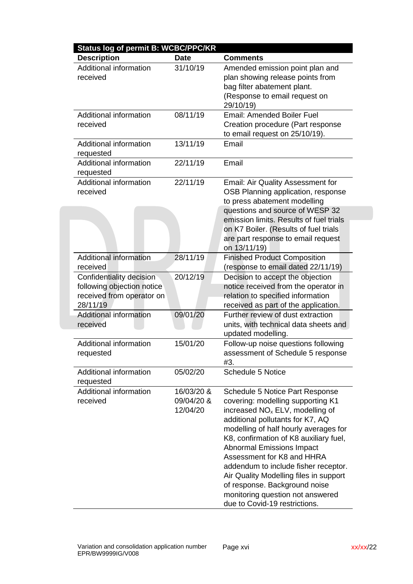| Status log of permit B: WCBC/PPC/KR                                                             |                                      |                                                                                                                                                                                                                                                                                                                                                                                                                                                                                                      |  |  |
|-------------------------------------------------------------------------------------------------|--------------------------------------|------------------------------------------------------------------------------------------------------------------------------------------------------------------------------------------------------------------------------------------------------------------------------------------------------------------------------------------------------------------------------------------------------------------------------------------------------------------------------------------------------|--|--|
| <b>Description</b>                                                                              | <b>Date</b>                          | <b>Comments</b>                                                                                                                                                                                                                                                                                                                                                                                                                                                                                      |  |  |
| Additional information<br>received                                                              | 31/10/19                             | Amended emission point plan and<br>plan showing release points from<br>bag filter abatement plant.<br>(Response to email request on<br>29/10/19)                                                                                                                                                                                                                                                                                                                                                     |  |  |
| Additional information<br>received                                                              | 08/11/19                             | <b>Email: Amended Boiler Fuel</b><br>Creation procedure (Part response<br>to email request on 25/10/19).                                                                                                                                                                                                                                                                                                                                                                                             |  |  |
| <b>Additional information</b><br>requested                                                      | 13/11/19                             | Email                                                                                                                                                                                                                                                                                                                                                                                                                                                                                                |  |  |
| <b>Additional information</b><br>requested                                                      | 22/11/19                             | Email                                                                                                                                                                                                                                                                                                                                                                                                                                                                                                |  |  |
| Additional information<br>received                                                              | 22/11/19                             | Email: Air Quality Assessment for<br>OSB Planning application, response<br>to press abatement modelling<br>questions and source of WESP 32                                                                                                                                                                                                                                                                                                                                                           |  |  |
|                                                                                                 |                                      | emission limits. Results of fuel trials<br>on K7 Boiler. (Results of fuel trials<br>are part response to email request<br>on 13/11/19)                                                                                                                                                                                                                                                                                                                                                               |  |  |
| <b>Additional information</b><br>received                                                       | 28/11/19                             | <b>Finished Product Composition</b><br>(response to email dated 22/11/19)                                                                                                                                                                                                                                                                                                                                                                                                                            |  |  |
| Confidentiality decision<br>following objection notice<br>received from operator on<br>28/11/19 | 20/12/19                             | Decision to accept the objection<br>notice received from the operator in<br>relation to specified information<br>received as part of the application.                                                                                                                                                                                                                                                                                                                                                |  |  |
| Additional information<br>received                                                              | 09/01/20                             | Further review of dust extraction<br>units, with technical data sheets and<br>updated modelling.                                                                                                                                                                                                                                                                                                                                                                                                     |  |  |
| <b>Additional information</b><br>requested                                                      | 15/01/20                             | Follow-up noise questions following<br>assessment of Schedule 5 response<br>#3.                                                                                                                                                                                                                                                                                                                                                                                                                      |  |  |
| <b>Additional information</b><br>requested                                                      | 05/02/20                             | <b>Schedule 5 Notice</b>                                                                                                                                                                                                                                                                                                                                                                                                                                                                             |  |  |
| Additional information<br>received                                                              | 16/03/20 &<br>09/04/20 &<br>12/04/20 | Schedule 5 Notice Part Response<br>covering: modelling supporting K1<br>increased NO <sub>x</sub> ELV, modelling of<br>additional pollutants for K7, AQ<br>modelling of half hourly averages for<br>K8, confirmation of K8 auxiliary fuel,<br><b>Abnormal Emissions Impact</b><br>Assessment for K8 and HHRA<br>addendum to include fisher receptor.<br>Air Quality Modelling files in support<br>of response. Background noise<br>monitoring question not answered<br>due to Covid-19 restrictions. |  |  |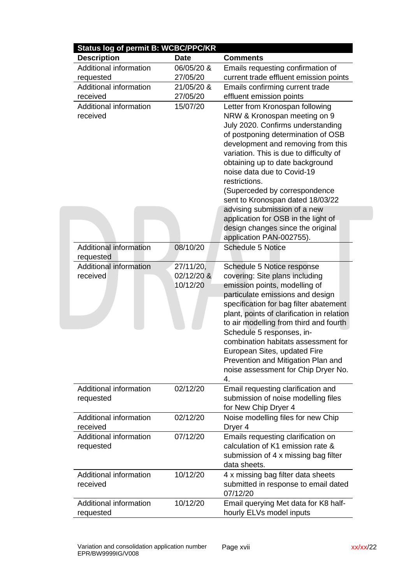| <b>Status log of permit B: WCBC/PPC/KR</b> |             |                                                                                                                                                                                                                                                                                                                                                                                            |  |  |
|--------------------------------------------|-------------|--------------------------------------------------------------------------------------------------------------------------------------------------------------------------------------------------------------------------------------------------------------------------------------------------------------------------------------------------------------------------------------------|--|--|
| <b>Description</b>                         | <b>Date</b> | <b>Comments</b>                                                                                                                                                                                                                                                                                                                                                                            |  |  |
| Additional information                     | 06/05/20 &  | Emails requesting confirmation of                                                                                                                                                                                                                                                                                                                                                          |  |  |
| requested                                  | 27/05/20    | current trade effluent emission points                                                                                                                                                                                                                                                                                                                                                     |  |  |
| <b>Additional information</b>              | 21/05/20 &  | Emails confirming current trade                                                                                                                                                                                                                                                                                                                                                            |  |  |
| received                                   | 27/05/20    | effluent emission points                                                                                                                                                                                                                                                                                                                                                                   |  |  |
| Additional information<br>received         | 15/07/20    | Letter from Kronospan following<br>NRW & Kronospan meeting on 9<br>July 2020. Confirms understanding<br>of postponing determination of OSB<br>development and removing from this<br>variation. This is due to difficulty of<br>obtaining up to date background<br>noise data due to Covid-19<br>restrictions.<br>(Superceded by correspondence<br>sent to Kronospan dated 18/03/22         |  |  |
|                                            |             | advising submission of a new                                                                                                                                                                                                                                                                                                                                                               |  |  |
|                                            |             | application for OSB in the light of                                                                                                                                                                                                                                                                                                                                                        |  |  |
|                                            |             | design changes since the original                                                                                                                                                                                                                                                                                                                                                          |  |  |
|                                            |             | application PAN-002755).                                                                                                                                                                                                                                                                                                                                                                   |  |  |
| <b>Additional information</b><br>requested | 08/10/20    | <b>Schedule 5 Notice</b>                                                                                                                                                                                                                                                                                                                                                                   |  |  |
| <b>Additional information</b>              | 27/11/20,   | Schedule 5 Notice response                                                                                                                                                                                                                                                                                                                                                                 |  |  |
| received                                   | 02/12/20 &  | covering: Site plans including                                                                                                                                                                                                                                                                                                                                                             |  |  |
|                                            | 10/12/20    | emission points, modelling of<br>particulate emissions and design<br>specification for bag filter abatement<br>plant, points of clarification in relation<br>to air modelling from third and fourth<br>Schedule 5 responses, in-<br>combination habitats assessment for<br>European Sites, updated Fire<br>Prevention and Mitigation Plan and<br>noise assessment for Chip Dryer No.<br>4. |  |  |
| Additional information<br>requested        | 02/12/20    | Email requesting clarification and<br>submission of noise modelling files<br>for New Chip Dryer 4                                                                                                                                                                                                                                                                                          |  |  |
| Additional information<br>received         | 02/12/20    | Noise modelling files for new Chip<br>Dryer <sub>4</sub>                                                                                                                                                                                                                                                                                                                                   |  |  |
| Additional information<br>requested        | 07/12/20    | Emails requesting clarification on<br>calculation of K1 emission rate &<br>submission of 4 x missing bag filter<br>data sheets.                                                                                                                                                                                                                                                            |  |  |
| <b>Additional information</b><br>received  | 10/12/20    | 4 x missing bag filter data sheets<br>submitted in response to email dated<br>07/12/20                                                                                                                                                                                                                                                                                                     |  |  |
| Additional information<br>requested        | 10/12/20    | Email querying Met data for K8 half-<br>hourly ELVs model inputs                                                                                                                                                                                                                                                                                                                           |  |  |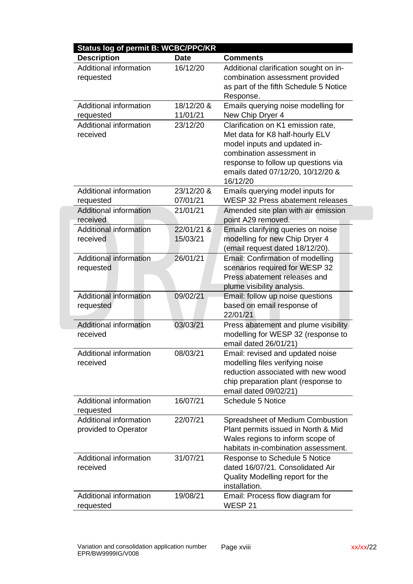| <b>Status log of permit B: WCBC/PPC/KR</b>            |                        |                                                                                                                                                                                                                            |
|-------------------------------------------------------|------------------------|----------------------------------------------------------------------------------------------------------------------------------------------------------------------------------------------------------------------------|
| <b>Description</b>                                    | <b>Date</b>            | <b>Comments</b>                                                                                                                                                                                                            |
| Additional information<br>requested                   | 16/12/20               | Additional clarification sought on in-<br>combination assessment provided<br>as part of the fifth Schedule 5 Notice<br>Response.                                                                                           |
| Additional information<br>requested                   | 18/12/20 &<br>11/01/21 | Emails querying noise modelling for<br>New Chip Dryer 4                                                                                                                                                                    |
| Additional information<br>received                    | 23/12/20               | Clarification on K1 emission rate,<br>Met data for K8 half-hourly ELV<br>model inputs and updated in-<br>combination assessment in<br>response to follow up questions via<br>emails dated 07/12/20, 10/12/20 &<br>16/12/20 |
| Additional information<br>requested                   | 23/12/20 &<br>07/01/21 | Emails querying model inputs for<br>WESP 32 Press abatement releases                                                                                                                                                       |
| Additional information<br>received                    | 21/01/21               | Amended site plan with air emission<br>point A29 removed.                                                                                                                                                                  |
| Additional information<br>received                    | 22/01/21 &<br>15/03/21 | Emails clarifying queries on noise<br>modelling for new Chip Dryer 4<br>(email request dated 18/12/20).                                                                                                                    |
| Additional information<br>requested                   | 26/01/21               | Email: Confirmation of modelling<br>scenarios required for WESP 32<br>Press abatement releases and<br>plume visibility analysis.                                                                                           |
| Additional information<br>requested                   | 09/02/21               | Email: follow up noise questions<br>based on email response of<br>22/01/21                                                                                                                                                 |
| <b>Additional information</b><br>received             | 03/03/21               | Press abatement and plume visibility<br>modelling for WESP 32 (response to<br>email dated 26/01/21)                                                                                                                        |
| Additional information<br>received                    | 08/03/21               | Email: revised and updated noise<br>modelling files verifying noise<br>reduction associated with new wood<br>chip preparation plant (response to<br>email dated 09/02/21)                                                  |
| Additional information<br>requested                   | 16/07/21               | <b>Schedule 5 Notice</b>                                                                                                                                                                                                   |
| <b>Additional information</b><br>provided to Operator | 22/07/21               | Spreadsheet of Medium Combustion<br>Plant permits issued in North & Mid<br>Wales regions to inform scope of<br>habitats in-combination assessment.                                                                         |
| Additional information<br>received                    | 31/07/21               | Response to Schedule 5 Notice<br>dated 16/07/21. Consolidated Air<br>Quality Modelling report for the<br>installation.                                                                                                     |
| Additional information<br>requested                   | 19/08/21               | Email: Process flow diagram for<br>WESP <sub>21</sub>                                                                                                                                                                      |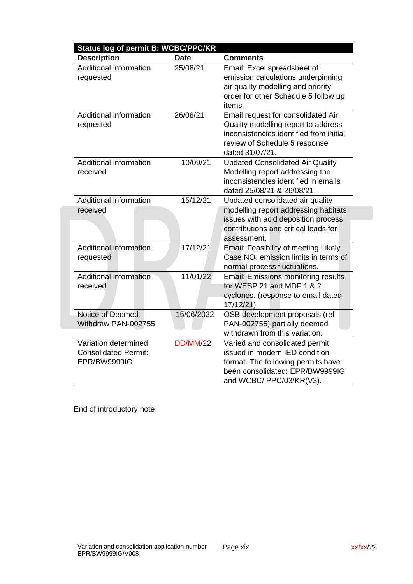| Status log of permit B: WCBC/PPC/KR<br><b>Description</b>           | <b>Date</b>     | <b>Comments</b>                                                                                                                                                          |
|---------------------------------------------------------------------|-----------------|--------------------------------------------------------------------------------------------------------------------------------------------------------------------------|
| <b>Additional information</b><br>requested                          | 25/08/21        | Email: Excel spreadsheet of<br>emission calculations underpinning<br>air quality modelling and priority<br>order for other Schedule 5 follow up<br>items.                |
| Additional information<br>requested                                 | 26/08/21        | Email request for consolidated Air<br>Quality modelling report to address<br>inconsistencies identified from initial<br>review of Schedule 5 response<br>dated 31/07/21. |
| <b>Additional information</b><br>received                           | 10/09/21        | <b>Updated Consolidated Air Quality</b><br>Modelling report addressing the<br>inconsistencies identified in emails<br>dated 25/08/21 & 26/08/21.                         |
| Additional information<br>received                                  | 15/12/21        | Updated consolidated air quality<br>modelling report addressing habitats<br>issues with acid deposition process<br>contributions and critical loads for<br>assessment.   |
| Additional information<br>requested                                 | 17/12/21        | Email: Feasibility of meeting Likely<br>Case $NOx$ emission limits in terms of<br>normal process fluctuations.                                                           |
| <b>Additional information</b><br>received                           | 11/01/22        | <b>Email: Emissions monitoring results</b><br>for WESP 21 and MDF 1 & 2<br>cyclones. (response to email dated<br>17/12/21)                                               |
| Notice of Deemed<br>Withdraw PAN-002755                             | 15/06/2022      | OSB development proposals (ref<br>PAN-002755) partially deemed<br>withdrawn from this variation.                                                                         |
| Variation determined<br><b>Consolidated Permit:</b><br>EPR/BW9999IG | <b>DD/MM/22</b> | Varied and consolidated permit<br>issued in modern IED condition<br>format. The following permits have<br>been consolidated: EPR/BW9999IG<br>and WCBC/IPPC/03/KR(V3).    |

End of introductory note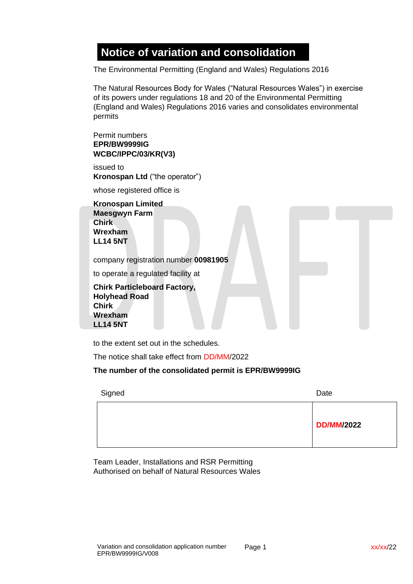### **Notice of variation and consolidation**

The Environmental Permitting (England and Wales) Regulations 2016

The Natural Resources Body for Wales ("Natural Resources Wales") in exercise of its powers under regulations 18 and 20 of the Environmental Permitting (England and Wales) Regulations 2016 varies and consolidates environmental permits

Permit numbers **EPR/BW9999IG WCBC/IPPC/03/KR(V3)**

issued to **Kronospan Ltd** ("the operator")

whose registered office is

**Kronospan Limited Maesgwyn Farm Chirk Wrexham LL14 5NT**

company registration number **00981905**

to operate a regulated facility at

**Chirk Particleboard Factory, Holyhead Road Chirk Wrexham LL14 5NT**

to the extent set out in the schedules.

The notice shall take effect from DD/MM/2022

**The number of the consolidated permit is EPR/BW9999IG**

| Signed | Date              |
|--------|-------------------|
|        | <b>DD/MM/2022</b> |

Team Leader, Installations and RSR Permitting Authorised on behalf of Natural Resources Wales